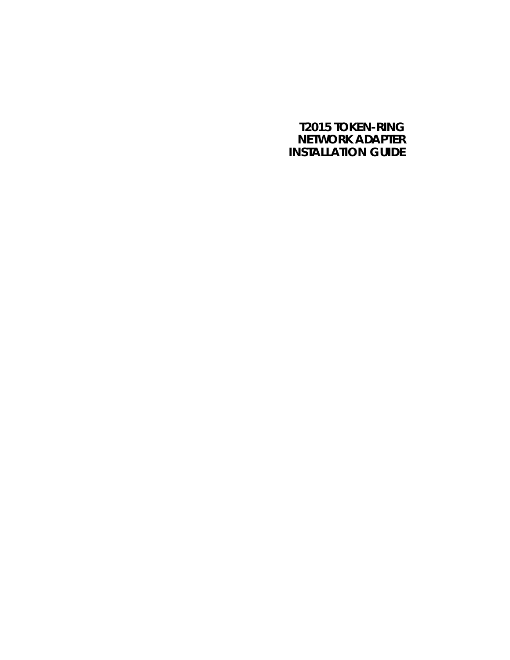# **T2015 TOKEN-RING NETWORK ADAPTER INSTALLATION GUIDE**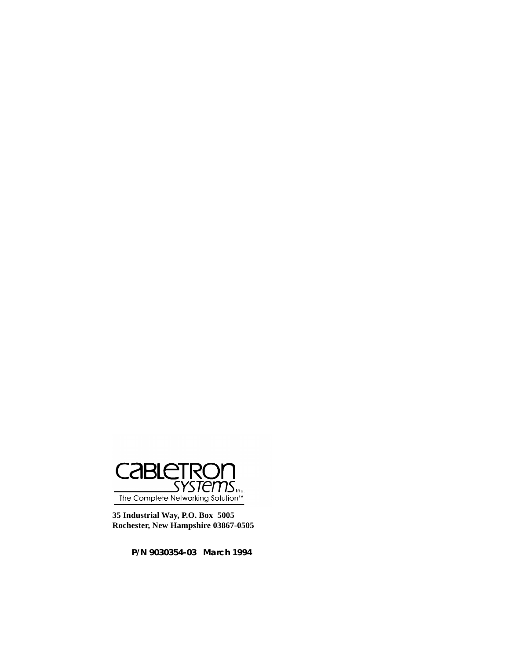

**35 Industrial Way, P.O. Box 5005 Rochester, New Hampshire 03867-0505**

**P/N 9030354-03 March 1994**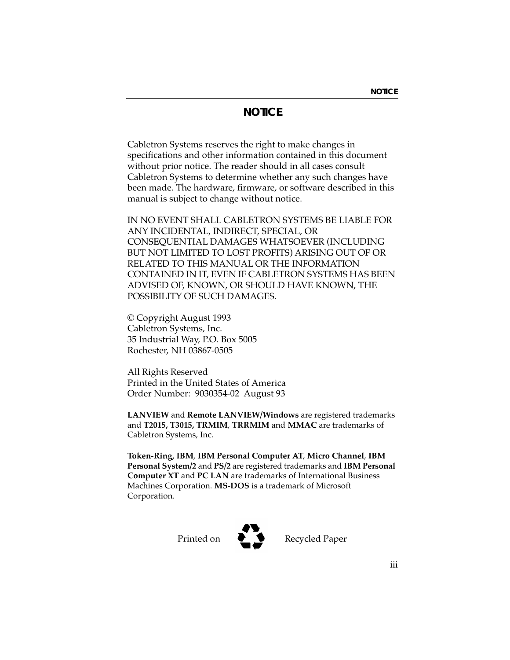# **NOTICE**

Cabletron Systems reserves the right to make changes in specifications and other information contained in this document without prior notice. The reader should in all cases consult Cabletron Systems to determine whether any such changes have been made. The hardware, firmware, or software described in this manual is subject to change without notice.

IN NO EVENT SHALL CABLETRON SYSTEMS BE LIABLE FOR ANY INCIDENTAL, INDIRECT, SPECIAL, OR CONSEQUENTIAL DAMAGES WHATSOEVER (INCLUDING BUT NOT LIMITED TO LOST PROFITS) ARISING OUT OF OR RELATED TO THIS MANUAL OR THE INFORMATION CONTAINED IN IT, EVEN IF CABLETRON SYSTEMS HAS BEEN ADVISED OF, KNOWN, OR SHOULD HAVE KNOWN, THE POSSIBILITY OF SUCH DAMAGES.

© Copyright August 1993 Cabletron Systems, Inc. 35 Industrial Way, P.O. Box 5005 Rochester, NH 03867-0505

All Rights Reserved Printed in the United States of America Order Number: 9030354-02 August 93

**LANVIEW** and **Remote LANVIEW/Windows** are registered trademarks and **T2015, T3015, TRMIM**, **TRRMIM** and **MMAC** are trademarks of Cabletron Systems, Inc.

**Token-Ring, IBM**, **IBM Personal Computer AT**, **Micro Channel**, **IBM Personal System/2** and **PS/2** are registered trademarks and **IBM Personal Computer XT** and **PC LAN** are trademarks of International Business Machines Corporation. **MS-DOS** is a trademark of Microsoft Corporation.



Printed on **D Recycled Paper**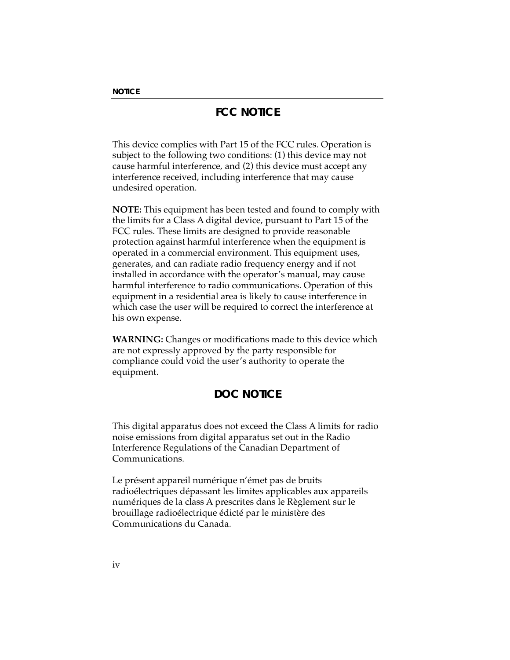# **FCC NOTICE**

This device complies with Part 15 of the FCC rules. Operation is subject to the following two conditions: (1) this device may not cause harmful interference, and (2) this device must accept any interference received, including interference that may cause undesired operation.

**NOTE:** This equipment has been tested and found to comply with the limits for a Class A digital device, pursuant to Part 15 of the FCC rules. These limits are designed to provide reasonable protection against harmful interference when the equipment is operated in a commercial environment. This equipment uses, generates, and can radiate radio frequency energy and if not installed in accordance with the operator's manual, may cause harmful interference to radio communications. Operation of this equipment in a residential area is likely to cause interference in which case the user will be required to correct the interference at his own expense.

**WARNING:** Changes or modifications made to this device which are not expressly approved by the party responsible for compliance could void the user's authority to operate the equipment.

# **DOC NOTICE**

This digital apparatus does not exceed the Class A limits for radio noise emissions from digital apparatus set out in the Radio Interference Regulations of the Canadian Department of Communications.

Le présent appareil numérique n'émet pas de bruits radioélectriques dépassant les limites applicables aux appareils numériques de la class A prescrites dans le Règlement sur le brouillage radioélectrique édicté par le ministère des Communications du Canada.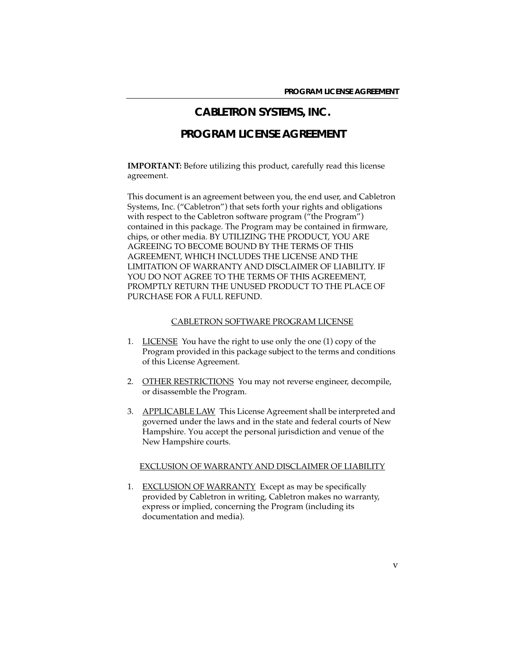# **CABLETRON SYSTEMS, INC.**

# **PROGRAM LICENSE AGREEMENT**

**IMPORTANT:** Before utilizing this product, carefully read this license agreement.

This document is an agreement between you, the end user, and Cabletron Systems, Inc. ("Cabletron") that sets forth your rights and obligations with respect to the Cabletron software program ("the Program") contained in this package. The Program may be contained in firmware, chips, or other media. BY UTILIZING THE PRODUCT, YOU ARE AGREEING TO BECOME BOUND BY THE TERMS OF THIS AGREEMENT, WHICH INCLUDES THE LICENSE AND THE LIMITATION OF WARRANTY AND DISCLAIMER OF LIABILITY. IF YOU DO NOT AGREE TO THE TERMS OF THIS AGREEMENT, PROMPTLY RETURN THE UNUSED PRODUCT TO THE PLACE OF PURCHASE FOR A FULL REFUND.

#### CABLETRON SOFTWARE PROGRAM LICENSE

- 1. LICENSE You have the right to use only the one (1) copy of the Program provided in this package subject to the terms and conditions of this License Agreement.
- 2. OTHER RESTRICTIONS You may not reverse engineer, decompile, or disassemble the Program.
- 3. APPLICABLE LAW This License Agreement shall be interpreted and governed under the laws and in the state and federal courts of New Hampshire. You accept the personal jurisdiction and venue of the New Hampshire courts.

#### EXCLUSION OF WARRANTY AND DISCLAIMER OF LIABILITY

1. EXCLUSION OF WARRANTY Except as may be specifically provided by Cabletron in writing, Cabletron makes no warranty, express or implied, concerning the Program (including its documentation and media).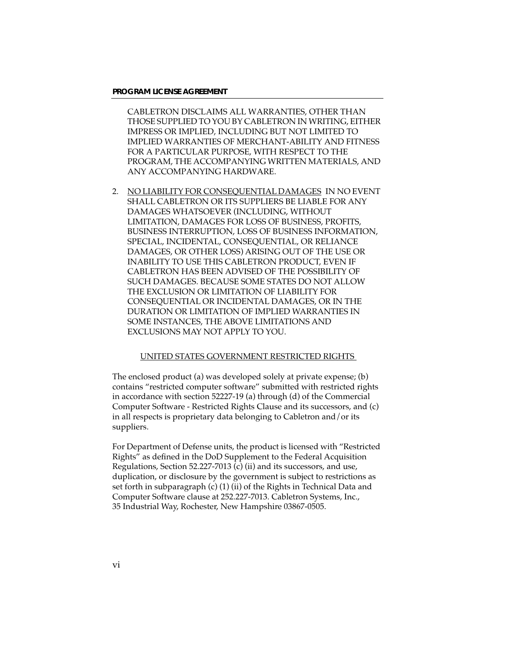CABLETRON DISCLAIMS ALL WARRANTIES, OTHER THAN THOSE SUPPLIED TO YOU BY CABLETRON IN WRITING, EITHER IMPRESS OR IMPLIED, INCLUDING BUT NOT LIMITED TO IMPLIED WARRANTIES OF MERCHANT-ABILITY AND FITNESS FOR A PARTICULAR PURPOSE, WITH RESPECT TO THE PROGRAM, THE ACCOMPANYING WRITTEN MATERIALS, AND ANY ACCOMPANYING HARDWARE.

2. NO LIABILITY FOR CONSEQUENTIAL DAMAGES IN NO EVENT SHALL CABLETRON OR ITS SUPPLIERS BE LIABLE FOR ANY DAMAGES WHATSOEVER (INCLUDING, WITHOUT LIMITATION, DAMAGES FOR LOSS OF BUSINESS, PROFITS, BUSINESS INTERRUPTION, LOSS OF BUSINESS INFORMATION, SPECIAL, INCIDENTAL, CONSEQUENTIAL, OR RELIANCE DAMAGES, OR OTHER LOSS) ARISING OUT OF THE USE OR INABILITY TO USE THIS CABLETRON PRODUCT, EVEN IF CABLETRON HAS BEEN ADVISED OF THE POSSIBILITY OF SUCH DAMAGES. BECAUSE SOME STATES DO NOT ALLOW THE EXCLUSION OR LIMITATION OF LIABILITY FOR CONSEQUENTIAL OR INCIDENTAL DAMAGES, OR IN THE DURATION OR LIMITATION OF IMPLIED WARRANTIES IN SOME INSTANCES, THE ABOVE LIMITATIONS AND EXCLUSIONS MAY NOT APPLY TO YOU.

#### UNITED STATES GOVERNMENT RESTRICTED RIGHTS

The enclosed product (a) was developed solely at private expense; (b) contains "restricted computer software" submitted with restricted rights in accordance with section 52227-19 (a) through (d) of the Commercial Computer Software - Restricted Rights Clause and its successors, and (c) in all respects is proprietary data belonging to Cabletron and/or its suppliers.

For Department of Defense units, the product is licensed with "Restricted Rights" as defined in the DoD Supplement to the Federal Acquisition Regulations, Section 52.227-7013  $(c)$  (ii) and its successors, and use, duplication, or disclosure by the government is subject to restrictions as set forth in subparagraph (c) (1) (ii) of the Rights in Technical Data and Computer Software clause at 252.227-7013. Cabletron Systems, Inc., 35 Industrial Way, Rochester, New Hampshire 03867-0505.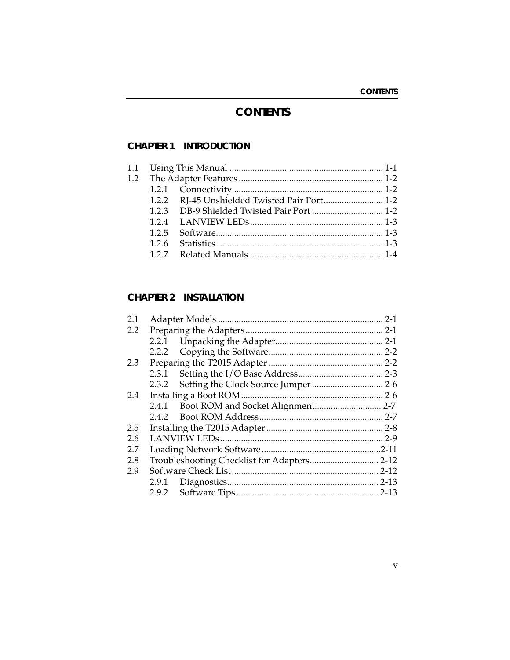# **CONTENTS**

## **CHAPTER 1 INTRODUCTION**

|  | 1.2.2 RJ-45 Unshielded Twisted Pair Port 1-2 |  |
|--|----------------------------------------------|--|
|  | 1.2.3 DB-9 Shielded Twisted Pair Port  1-2   |  |
|  |                                              |  |
|  |                                              |  |
|  |                                              |  |
|  |                                              |  |
|  |                                              |  |

## **CHAPTER 2 INSTALLATION**

| 2.1 |       |  |  |
|-----|-------|--|--|
| 2.2 |       |  |  |
|     |       |  |  |
|     |       |  |  |
| 2.3 |       |  |  |
|     |       |  |  |
|     |       |  |  |
| 2.4 |       |  |  |
|     | 2.4.1 |  |  |
|     | 2.4.2 |  |  |
| 2.5 |       |  |  |
| 2.6 |       |  |  |
| 2.7 |       |  |  |
| 2.8 |       |  |  |
| 2.9 |       |  |  |
|     |       |  |  |
|     |       |  |  |
|     |       |  |  |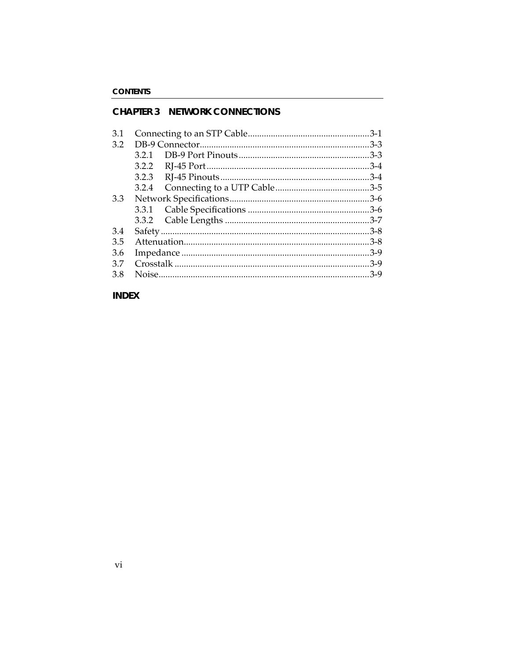## **CHAPTER 3 NETWORK CONNECTIONS**

## **INDEX**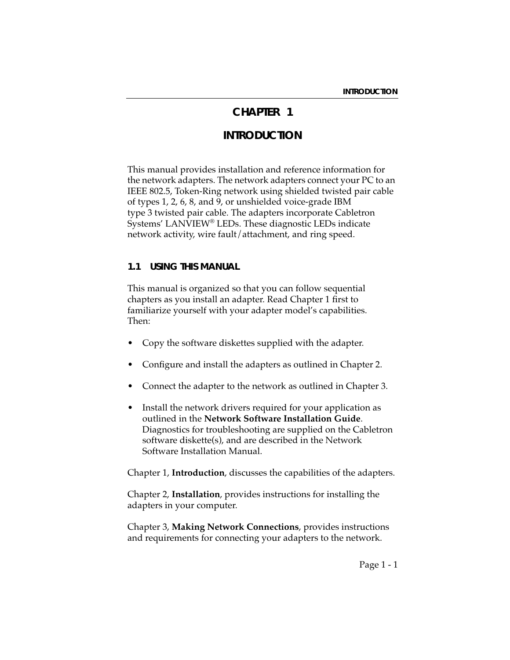# **CHAPTER 1**

# **INTRODUCTION**

This manual provides installation and reference information for the network adapters. The network adapters connect your PC to an IEEE 802.5, Token-Ring network using shielded twisted pair cable of types 1, 2, 6, 8, and 9, or unshielded voice-grade IBM type 3 twisted pair cable. The adapters incorporate Cabletron Systems' LANVIEW® LEDs. These diagnostic LEDs indicate network activity, wire fault/attachment, and ring speed.

#### **1.1 USING THIS MANUAL**

This manual is organized so that you can follow sequential chapters as you install an adapter. Read Chapter 1 first to familiarize yourself with your adapter model's capabilities. Then:

- Copy the software diskettes supplied with the adapter.
- Configure and install the adapters as outlined in Chapter 2.
- Connect the adapter to the network as outlined in Chapter 3.
- Install the network drivers required for your application as outlined in the **Network Software Installation Guide**. Diagnostics for troubleshooting are supplied on the Cabletron software diskette(s), and are described in the Network Software Installation Manual.

Chapter 1, **Introduction**, discusses the capabilities of the adapters.

Chapter 2, **Installation**, provides instructions for installing the adapters in your computer.

Chapter 3, **Making Network Connections**, provides instructions and requirements for connecting your adapters to the network.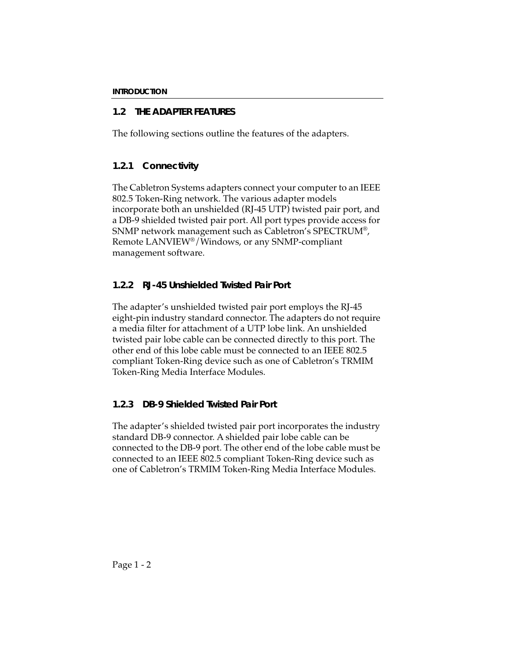## **1.2 THE ADAPTER FEATURES**

The following sections outline the features of the adapters.

### **1.2.1 Connectivity**

The Cabletron Systems adapters connect your computer to an IEEE 802.5 Token-Ring network. The various adapter models incorporate both an unshielded (RJ-45 UTP) twisted pair port, and a DB-9 shielded twisted pair port. All port types provide access for SNMP network management such as Cabletron's SPECTRUM®, Remote LANVIEW®/Windows, or any SNMP-compliant management software.

## **1.2.2 RJ-45 Unshielded Twisted Pair Port**

The adapter's unshielded twisted pair port employs the RJ-45 eight-pin industry standard connector. The adapters do not require a media filter for attachment of a UTP lobe link. An unshielded twisted pair lobe cable can be connected directly to this port. The other end of this lobe cable must be connected to an IEEE 802.5 compliant Token-Ring device such as one of Cabletron's TRMIM Token-Ring Media Interface Modules.

## **1.2.3 DB-9 Shielded Twisted Pair Port**

The adapter's shielded twisted pair port incorporates the industry standard DB-9 connector. A shielded pair lobe cable can be connected to the DB-9 port. The other end of the lobe cable must be connected to an IEEE 802.5 compliant Token-Ring device such as one of Cabletron's TRMIM Token-Ring Media Interface Modules.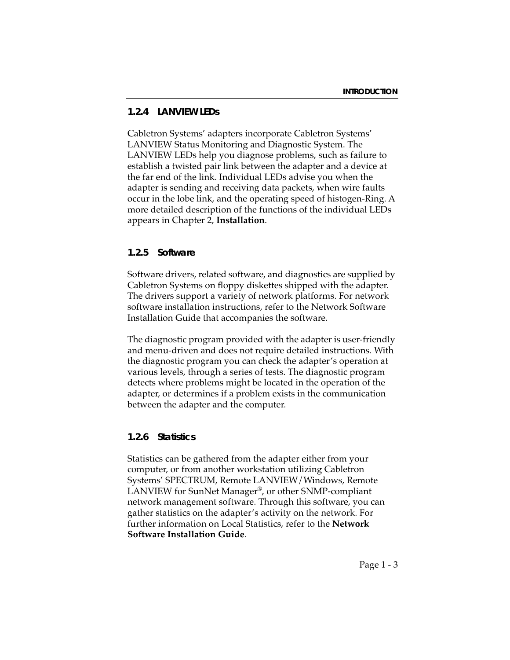### **1.2.4 LANVIEW LEDs**

Cabletron Systems' adapters incorporate Cabletron Systems' LANVIEW Status Monitoring and Diagnostic System. The LANVIEW LEDs help you diagnose problems, such as failure to establish a twisted pair link between the adapter and a device at the far end of the link. Individual LEDs advise you when the adapter is sending and receiving data packets, when wire faults occur in the lobe link, and the operating speed of histogen-Ring. A more detailed description of the functions of the individual LEDs appears in Chapter 2, **Installation**.

### **1.2.5 Software**

Software drivers, related software, and diagnostics are supplied by Cabletron Systems on floppy diskettes shipped with the adapter. The drivers support a variety of network platforms. For network software installation instructions, refer to the Network Software Installation Guide that accompanies the software.

The diagnostic program provided with the adapter is user-friendly and menu-driven and does not require detailed instructions. With the diagnostic program you can check the adapter's operation at various levels, through a series of tests. The diagnostic program detects where problems might be located in the operation of the adapter, or determines if a problem exists in the communication between the adapter and the computer.

### **1.2.6 Statistics**

Statistics can be gathered from the adapter either from your computer, or from another workstation utilizing Cabletron Systems' SPECTRUM, Remote LANVIEW/Windows, Remote LANVIEW for SunNet Manager®, or other SNMP-compliant network management software. Through this software, you can gather statistics on the adapter's activity on the network. For further information on Local Statistics, refer to the **Network Software Installation Guide**.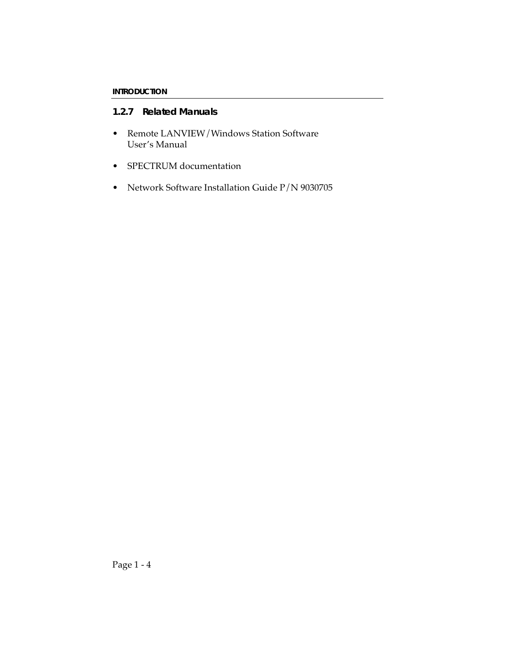### **1.2.7 Related Manuals**

- Remote LANVIEW/Windows Station Software User's Manual
- SPECTRUM documentation
- Network Software Installation Guide P/N 9030705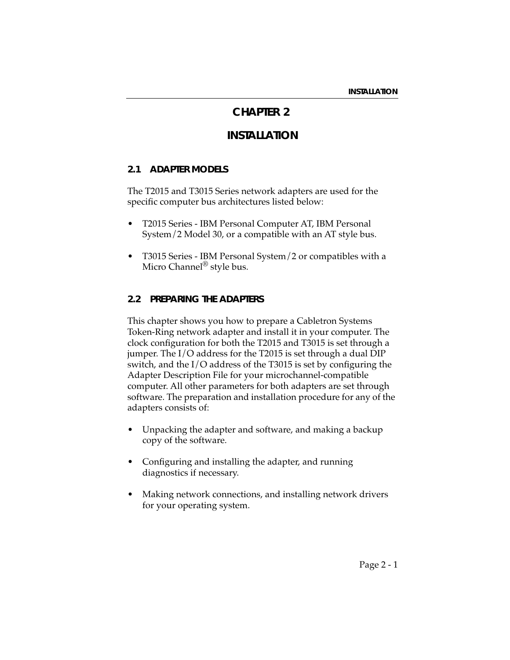# **CHAPTER 2**

# **INSTALLATION**

#### **2.1 ADAPTER MODELS**

The T2015 and T3015 Series network adapters are used for the specific computer bus architectures listed below:

- T2015 Series IBM Personal Computer AT, IBM Personal System/2 Model 30, or a compatible with an AT style bus.
- T3015 Series IBM Personal System/2 or compatibles with a Micro Channel<sup>®</sup> style bus.

#### **2.2 PREPARING THE ADAPTERS**

This chapter shows you how to prepare a Cabletron Systems Token-Ring network adapter and install it in your computer. The clock configuration for both the T2015 and T3015 is set through a jumper. The I/O address for the T2015 is set through a dual DIP switch, and the I/O address of the T3015 is set by configuring the Adapter Description File for your microchannel-compatible computer. All other parameters for both adapters are set through software. The preparation and installation procedure for any of the adapters consists of:

- Unpacking the adapter and software, and making a backup copy of the software.
- Configuring and installing the adapter, and running diagnostics if necessary.
- Making network connections, and installing network drivers for your operating system.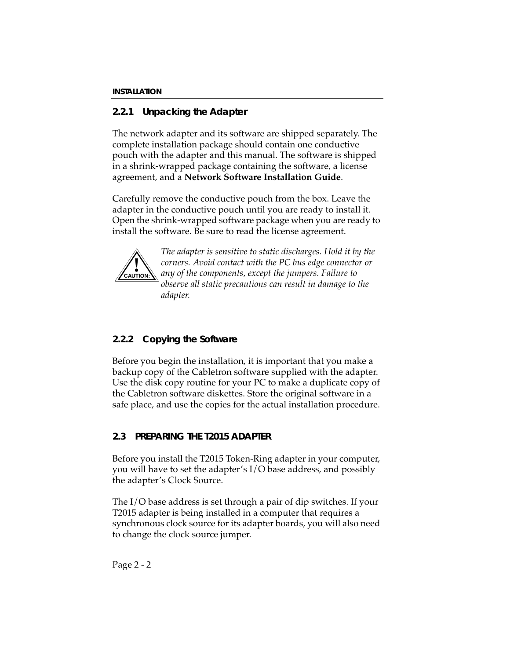## **2.2.1 Unpacking the Adapter**

The network adapter and its software are shipped separately. The complete installation package should contain one conductive pouch with the adapter and this manual. The software is shipped in a shrink-wrapped package containing the software, a license agreement, and a **Network Software Installation Guide**.

Carefully remove the conductive pouch from the box. Leave the adapter in the conductive pouch until you are ready to install it. Open the shrink-wrapped software package when you are ready to install the software. Be sure to read the license agreement.



*The adapter is sensitive to static discharges. Hold it by the corners. Avoid contact with the PC bus edge connector or any of the components, except the jumpers. Failure to observe all static precautions can result in damage to the adapter.*

## **2.2.2 Copying the Software**

Before you begin the installation, it is important that you make a backup copy of the Cabletron software supplied with the adapter. Use the disk copy routine for your PC to make a duplicate copy of the Cabletron software diskettes. Store the original software in a safe place, and use the copies for the actual installation procedure.

## **2.3 PREPARING THE T2015 ADAPTER**

Before you install the T2015 Token-Ring adapter in your computer, you will have to set the adapter's I/O base address, and possibly the adapter's Clock Source.

The I/O base address is set through a pair of dip switches. If your T2015 adapter is being installed in a computer that requires a synchronous clock source for its adapter boards, you will also need to change the clock source jumper.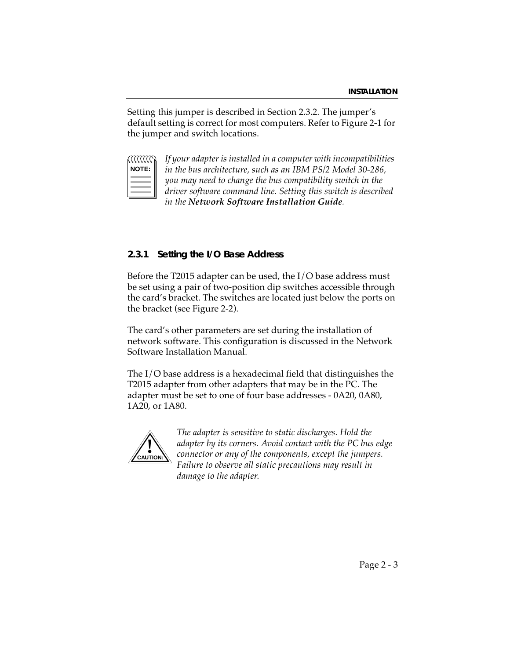Setting this jumper is described in Section 2.3.2. The jumper's default setting is correct for most computers. Refer to Figure 2-1 for the jumper and switch locations.

| N<br>Е<br>ں |  |
|-------------|--|
|             |  |
|             |  |
|             |  |

*If your adapter is installed in a computer with incompatibilities in the bus architecture, such as an IBM PS/2 Model 30-286, you may need to change the bus compatibility switch in the driver software command line. Setting this switch is described in the Network Software Installation Guide.*

### **2.3.1 Setting the I/O Base Address**

Before the T2015 adapter can be used, the I/O base address must be set using a pair of two-position dip switches accessible through the card's bracket. The switches are located just below the ports on the bracket (see Figure 2-2).

The card's other parameters are set during the installation of network software. This configuration is discussed in the Network Software Installation Manual.

The I/O base address is a hexadecimal field that distinguishes the T2015 adapter from other adapters that may be in the PC. The adapter must be set to one of four base addresses - 0A20, 0A80, 1A20, or 1A80.



*The adapter is sensitive to static discharges. Hold the adapter by its corners. Avoid contact with the PC bus edge connector or any of the components, except the jumpers. Failure to observe all static precautions may result in damage to the adapter*.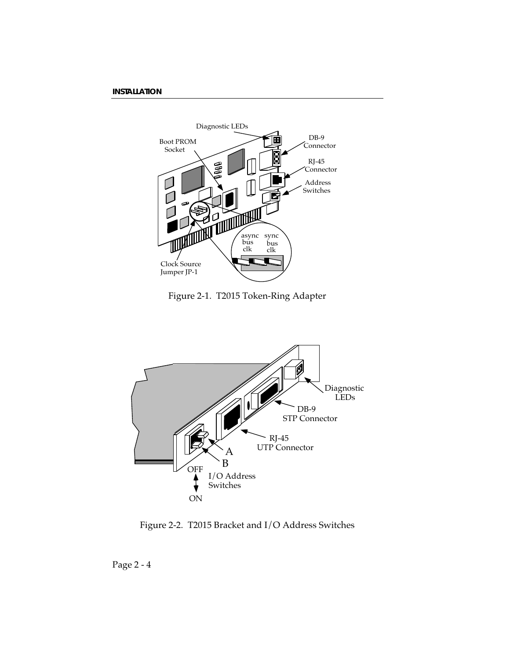

Figure 2-1. T2015 Token-Ring Adapter



Figure 2-2. T2015 Bracket and I/O Address Switches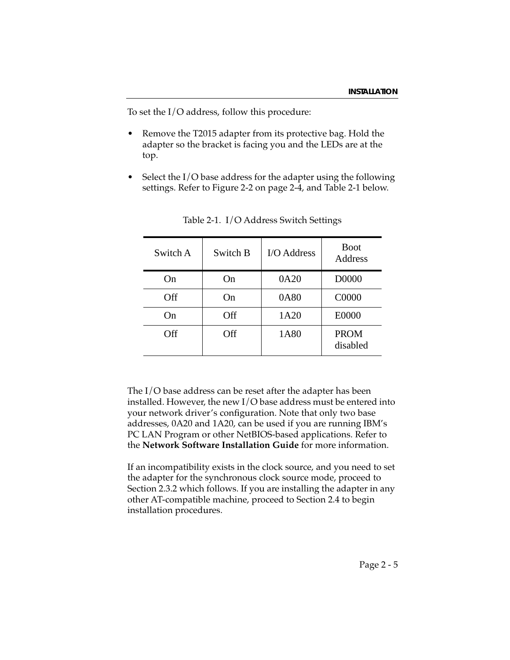To set the I/O address, follow this procedure:

- Remove the T2015 adapter from its protective bag. Hold the adapter so the bracket is facing you and the LEDs are at the top.
- Select the  $I/O$  base address for the adapter using the following settings. Refer to Figure 2-2 on page 2-4, and Table 2-1 below.

| Switch A | Switch B | I/O Address | <b>Boot</b><br>Address  |
|----------|----------|-------------|-------------------------|
| On       | On       | 0A20        | D0000                   |
| Off      | On)      | 0A80        | C0000                   |
| On       | Off      | 1A20        | E0000                   |
| Off      | Off      | 1A80        | <b>PROM</b><br>disabled |

Table 2-1. I/O Address Switch Settings

The I/O base address can be reset after the adapter has been installed. However, the new I/O base address must be entered into your network driver's configuration. Note that only two base addresses, 0A20 and 1A20, can be used if you are running IBM's PC LAN Program or other NetBIOS-based applications. Refer to the **Network Software Installation Guide** for more information.

If an incompatibility exists in the clock source, and you need to set the adapter for the synchronous clock source mode, proceed to Section 2.3.2 which follows. If you are installing the adapter in any other AT-compatible machine, proceed to Section 2.4 to begin installation procedures.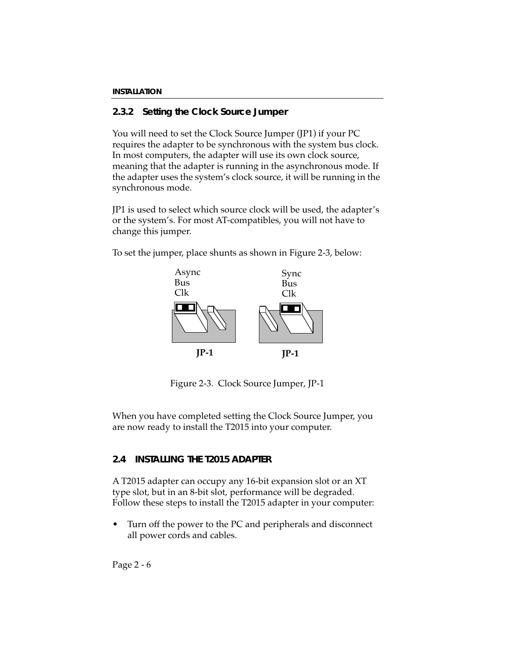## **2.3.2 Setting the Clock Source Jumper**

You will need to set the Clock Source Jumper (JP1) if your PC requires the adapter to be synchronous with the system bus clock. In most computers, the adapter will use its own clock source, meaning that the adapter is running in the asynchronous mode. If the adapter uses the system's clock source, it will be running in the synchronous mode.

JP1 is used to select which source clock will be used, the adapter's or the system's. For most AT-compatibles, you will not have to change this jumper.



To set the jumper, place shunts as shown in Figure 2-3, below:

Figure 2-3. Clock Source Jumper, JP-1

When you have completed setting the Clock Source Jumper, you are now ready to install the T2015 into your computer.

## **2.4 INSTALLING THE T2015 ADAPTER**

A T2015 adapter can occupy any 16-bit expansion slot or an XT type slot, but in an 8-bit slot, performance will be degraded. Follow these steps to install the T2015 adapter in your computer:

• Turn off the power to the PC and peripherals and disconnect all power cords and cables.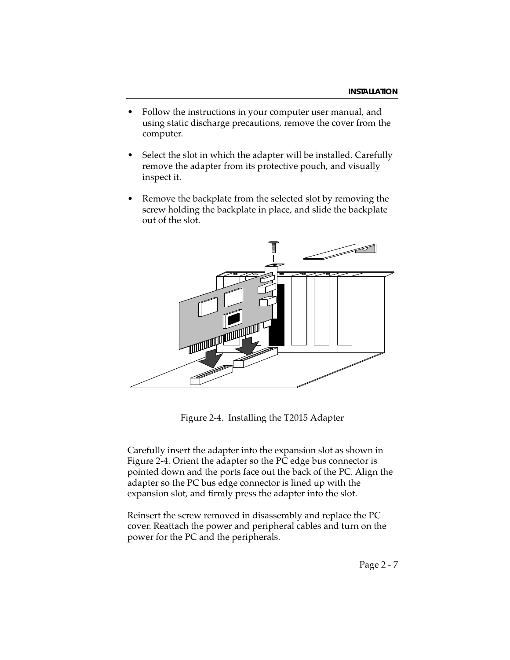- Follow the instructions in your computer user manual, and using static discharge precautions, remove the cover from the computer.
- Select the slot in which the adapter will be installed. Carefully remove the adapter from its protective pouch, and visually inspect it.
- Remove the backplate from the selected slot by removing the screw holding the backplate in place, and slide the backplate out of the slot.



Figure 2-4. Installing the T2015 Adapter

Carefully insert the adapter into the expansion slot as shown in Figure 2-4. Orient the adapter so the PC edge bus connector is pointed down and the ports face out the back of the PC. Align the adapter so the PC bus edge connector is lined up with the expansion slot, and firmly press the adapter into the slot.

Reinsert the screw removed in disassembly and replace the PC cover. Reattach the power and peripheral cables and turn on the power for the PC and the peripherals.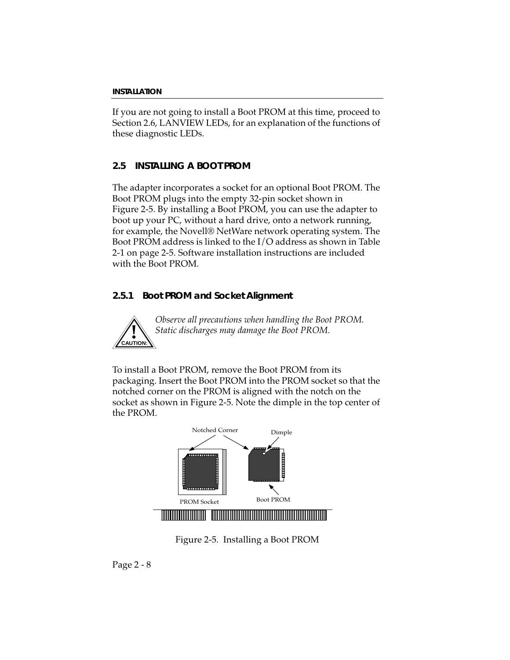If you are not going to install a Boot PROM at this time, proceed to Section 2.6, LANVIEW LEDs, for an explanation of the functions of these diagnostic LEDs.

## **2.5 INSTALLING A BOOT PROM**

The adapter incorporates a socket for an optional Boot PROM. The Boot PROM plugs into the empty 32-pin socket shown in Figure 2-5. By installing a Boot PROM, you can use the adapter to boot up your PC, without a hard drive, onto a network running, for example, the Novell® NetWare network operating system. The Boot PROM address is linked to the I/O address as shown in Table 2-1 on page 2-5. Software installation instructions are included with the Boot PROM.

## **2.5.1 Boot PROM and Socket Alignment**



*Observe all precautions when handling the Boot PROM. Static discharges may damage the Boot PROM.*

To install a Boot PROM, remove the Boot PROM from its packaging. Insert the Boot PROM into the PROM socket so that the notched corner on the PROM is aligned with the notch on the socket as shown in Figure 2-5. Note the dimple in the top center of the PROM.



Figure 2-5. Installing a Boot PROM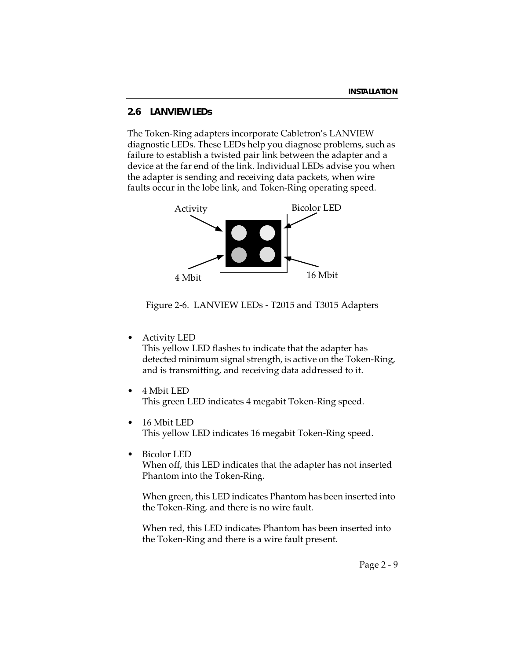### **2.6 LANVIEW LEDs**

The Token-Ring adapters incorporate Cabletron's LANVIEW diagnostic LEDs. These LEDs help you diagnose problems, such as failure to establish a twisted pair link between the adapter and a device at the far end of the link. Individual LEDs advise you when the adapter is sending and receiving data packets, when wire faults occur in the lobe link, and Token-Ring operating speed.



Figure 2-6. LANVIEW LEDs - T2015 and T3015 Adapters

- Activity LED This yellow LED flashes to indicate that the adapter has detected minimum signal strength, is active on the Token-Ring, and is transmitting, and receiving data addressed to it.
- 4 Mbit LED This green LED indicates 4 megabit Token-Ring speed.
- 16 Mbit LED This yellow LED indicates 16 megabit Token-Ring speed.
- Bicolor LED When off, this LED indicates that the adapter has not inserted Phantom into the Token-Ring.

When green, this LED indicates Phantom has been inserted into the Token-Ring, and there is no wire fault.

When red, this LED indicates Phantom has been inserted into the Token-Ring and there is a wire fault present.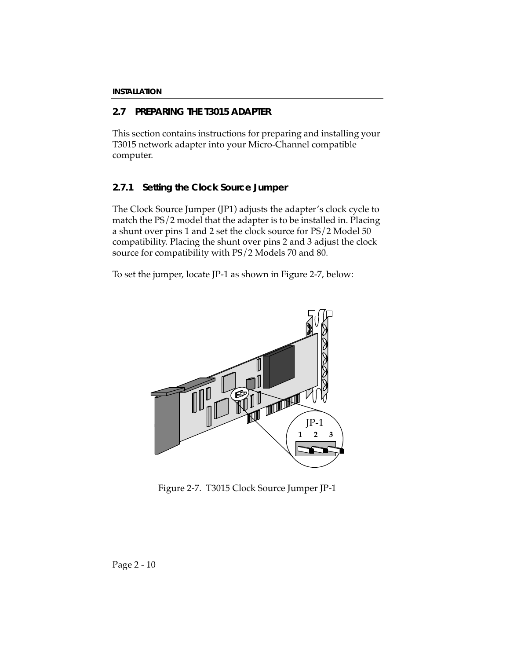## **2.7 PREPARING THE T3015 ADAPTER**

This section contains instructions for preparing and installing your T3015 network adapter into your Micro-Channel compatible computer.

### **2.7.1 Setting the Clock Source Jumper**

The Clock Source Jumper (JP1) adjusts the adapter's clock cycle to match the PS/2 model that the adapter is to be installed in. Placing a shunt over pins 1 and 2 set the clock source for PS/2 Model 50 compatibility. Placing the shunt over pins 2 and 3 adjust the clock source for compatibility with PS/2 Models 70 and 80.

To set the jumper, locate JP-1 as shown in Figure 2-7, below:



Figure 2-7. T3015 Clock Source Jumper JP-1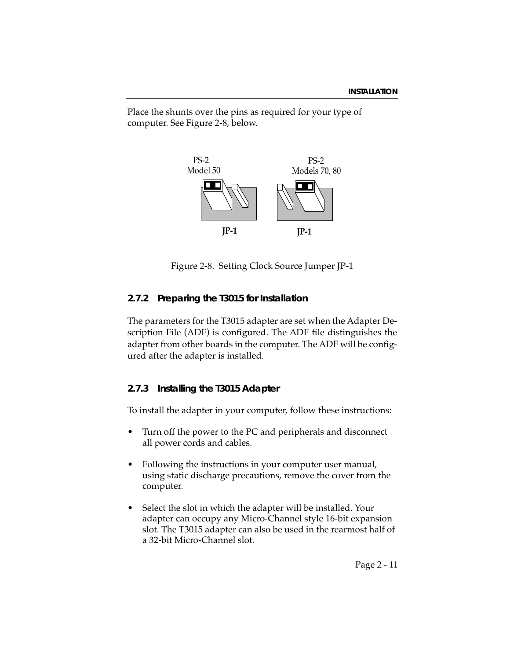Place the shunts over the pins as required for your type of computer. See Figure 2-8, below.



Figure 2-8. Setting Clock Source Jumper JP-1

### **2.7.2 Preparing the T3015 for Installation**

The parameters for the T3015 adapter are set when the Adapter Description File (ADF) is configured. The ADF file distinguishes the adapter from other boards in the computer. The ADF will be configured after the adapter is installed.

### **2.7.3 Installing the T3015 Adapter**

To install the adapter in your computer, follow these instructions:

- Turn off the power to the PC and peripherals and disconnect all power cords and cables.
- Following the instructions in your computer user manual, using static discharge precautions, remove the cover from the computer.
- Select the slot in which the adapter will be installed. Your adapter can occupy any Micro-Channel style 16-bit expansion slot. The T3015 adapter can also be used in the rearmost half of a 32-bit Micro-Channel slot.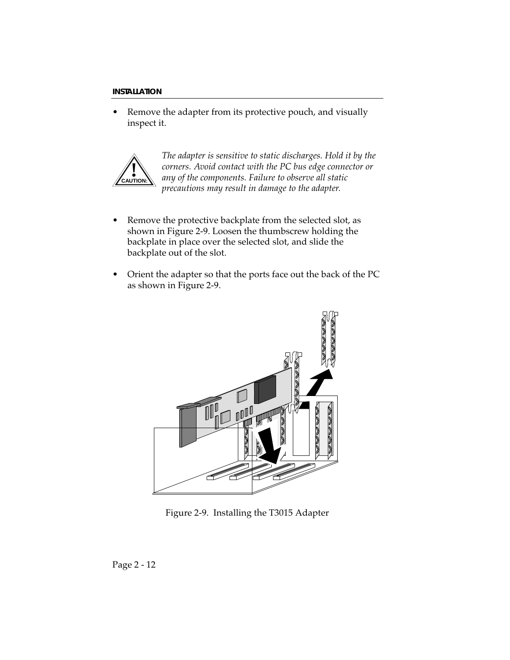Remove the adapter from its protective pouch, and visually inspect it.



*The adapter is sensitive to static discharges. Hold it by the corners. Avoid contact with the PC bus edge connector or any of the components. Failure to observe all static precautions may result in damage to the adapter.*

- Remove the protective backplate from the selected slot, as shown in Figure 2-9. Loosen the thumbscrew holding the backplate in place over the selected slot, and slide the backplate out of the slot.
- Orient the adapter so that the ports face out the back of the PC as shown in Figure 2-9.



Figure 2-9. Installing the T3015 Adapter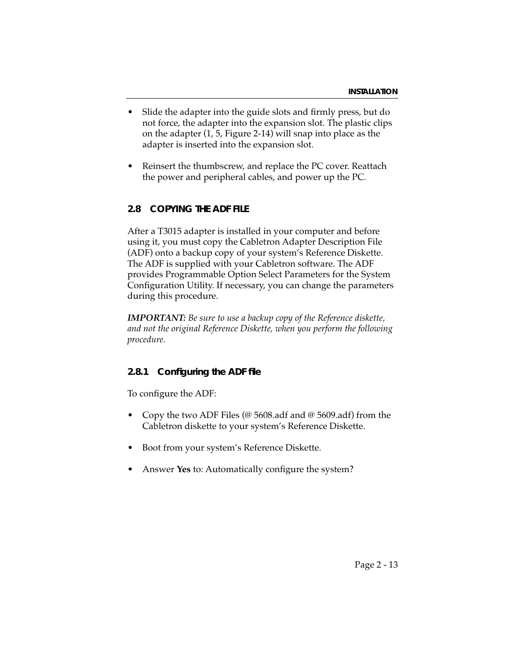- Slide the adapter into the guide slots and firmly press, but do not force, the adapter into the expansion slot. The plastic clips on the adapter (1, 5, Figure 2-14) will snap into place as the adapter is inserted into the expansion slot.
- Reinsert the thumbscrew, and replace the PC cover. Reattach the power and peripheral cables, and power up the PC.

#### **2.8 COPYING THE ADF FILE**

After a T3015 adapter is installed in your computer and before using it, you must copy the Cabletron Adapter Description File (ADF) onto a backup copy of your system's Reference Diskette. The ADF is supplied with your Cabletron software. The ADF provides Programmable Option Select Parameters for the System Configuration Utility. If necessary, you can change the parameters during this procedure.

*IMPORTANT: Be sure to use a backup copy of the Reference diskette, and not the original Reference Diskette, when you perform the following procedure.*

#### **2.8.1 Configuring the ADF file**

To configure the ADF:

- Copy the two ADF Files (@ 5608.adf and @ 5609.adf) from the Cabletron diskette to your system's Reference Diskette.
- Boot from your system's Reference Diskette.
- Answer Yes to: Automatically configure the system?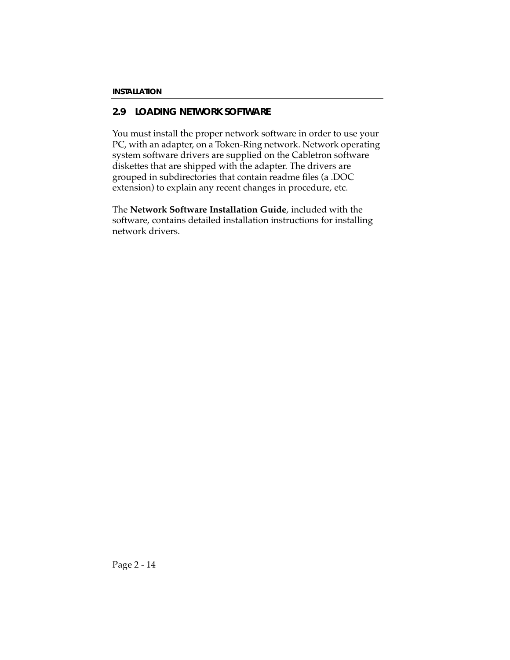## **2.9 LOADING NETWORK SOFTWARE**

You must install the proper network software in order to use your PC, with an adapter, on a Token-Ring network. Network operating system software drivers are supplied on the Cabletron software diskettes that are shipped with the adapter. The drivers are grouped in subdirectories that contain readme files (a .DOC extension) to explain any recent changes in procedure, etc.

The **Network Software Installation Guide**, included with the software, contains detailed installation instructions for installing network drivers.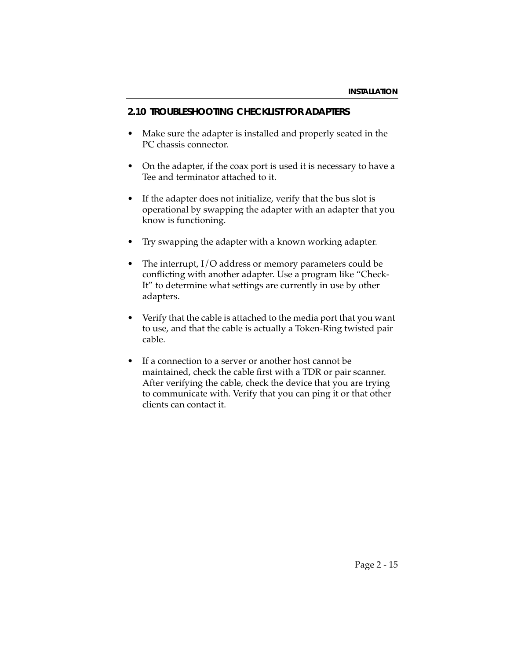#### **2.10 TROUBLESHOOTING CHECKLIST FOR ADAPTERS**

- Make sure the adapter is installed and properly seated in the PC chassis connector.
- On the adapter, if the coax port is used it is necessary to have a Tee and terminator attached to it.
- If the adapter does not initialize, verify that the bus slot is operational by swapping the adapter with an adapter that you know is functioning.
- Try swapping the adapter with a known working adapter.
- The interrupt,  $I/O$  address or memory parameters could be conflicting with another adapter. Use a program like "Check-It" to determine what settings are currently in use by other adapters.
- Verify that the cable is attached to the media port that you want to use, and that the cable is actually a Token-Ring twisted pair cable.
- If a connection to a server or another host cannot be maintained, check the cable first with a TDR or pair scanner. After verifying the cable, check the device that you are trying to communicate with. Verify that you can ping it or that other clients can contact it.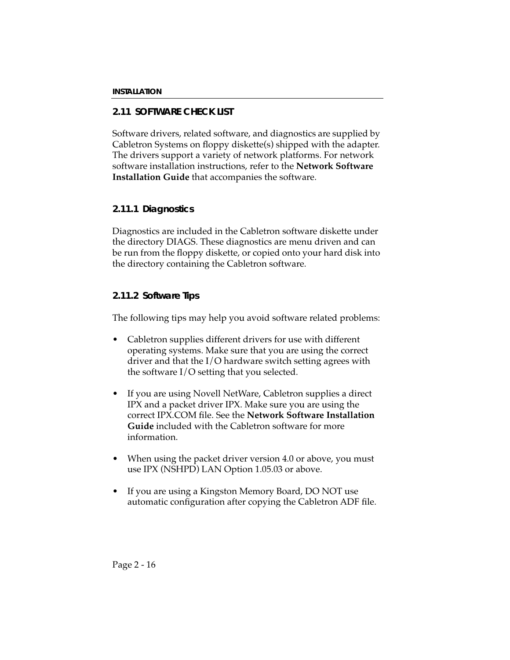## **2.11 SOFTWARE CHECK LIST**

Software drivers, related software, and diagnostics are supplied by Cabletron Systems on floppy diskette(s) shipped with the adapter. The drivers support a variety of network platforms. For network software installation instructions, refer to the **Network Software Installation Guide** that accompanies the software.

### **2.11.1 Diagnostics**

Diagnostics are included in the Cabletron software diskette under the directory DIAGS. These diagnostics are menu driven and can be run from the floppy diskette, or copied onto your hard disk into the directory containing the Cabletron software.

### **2.11.2 Software Tips**

The following tips may help you avoid software related problems:

- Cabletron supplies different drivers for use with different operating systems. Make sure that you are using the correct driver and that the I/O hardware switch setting agrees with the software I/O setting that you selected.
- If you are using Novell NetWare, Cabletron supplies a direct IPX and a packet driver IPX. Make sure you are using the correct IPX.COM file. See the **Network Software Installation Guide** included with the Cabletron software for more information.
- When using the packet driver version 4.0 or above, you must use IPX (NSHPD) LAN Option 1.05.03 or above.
- If you are using a Kingston Memory Board, DO NOT use automatic configuration after copying the Cabletron ADF file.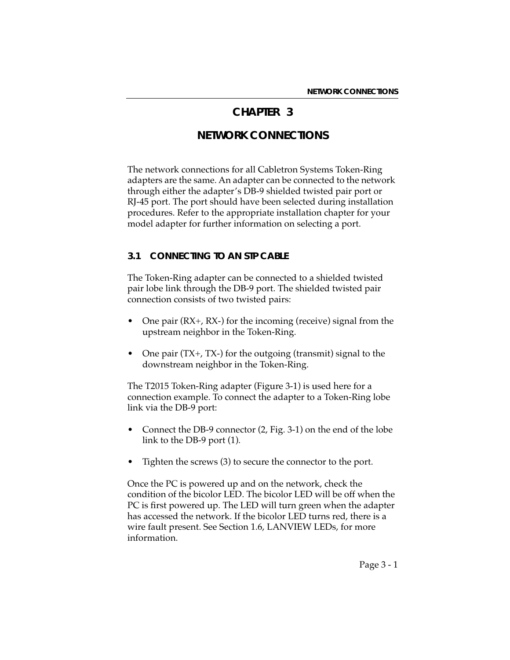## **CHAPTER 3**

# **NETWORK CONNECTIONS**

The network connections for all Cabletron Systems Token-Ring adapters are the same. An adapter can be connected to the network through either the adapter's DB-9 shielded twisted pair port or RJ-45 port. The port should have been selected during installation procedures. Refer to the appropriate installation chapter for your model adapter for further information on selecting a port.

#### **3.1 CONNECTING TO AN STP CABLE**

The Token-Ring adapter can be connected to a shielded twisted pair lobe link through the DB-9 port. The shielded twisted pair connection consists of two twisted pairs:

- One pair (RX+, RX-) for the incoming (receive) signal from the upstream neighbor in the Token-Ring.
- One pair (TX+, TX-) for the outgoing (transmit) signal to the downstream neighbor in the Token-Ring.

The T2015 Token-Ring adapter (Figure 3-1) is used here for a connection example. To connect the adapter to a Token-Ring lobe link via the DB-9 port:

- Connect the DB-9 connector (2, Fig. 3-1) on the end of the lobe link to the DB-9 port (1).
- Tighten the screws (3) to secure the connector to the port.

Once the PC is powered up and on the network, check the condition of the bicolor LED. The bicolor LED will be off when the PC is first powered up. The LED will turn green when the adapter has accessed the network. If the bicolor LED turns red, there is a wire fault present. See Section 1.6, LANVIEW LEDs, for more information.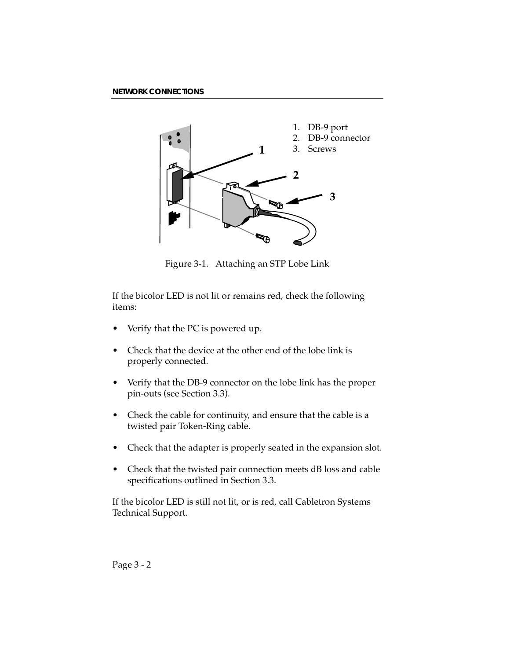

Figure 3-1. Attaching an STP Lobe Link

If the bicolor LED is not lit or remains red, check the following items:

- Verify that the PC is powered up.
- Check that the device at the other end of the lobe link is properly connected.
- Verify that the DB-9 connector on the lobe link has the proper pin-outs (see Section 3.3).
- Check the cable for continuity, and ensure that the cable is a twisted pair Token-Ring cable.
- Check that the adapter is properly seated in the expansion slot.
- Check that the twisted pair connection meets dB loss and cable specifications outlined in Section 3.3.

If the bicolor LED is still not lit, or is red, call Cabletron Systems Technical Support.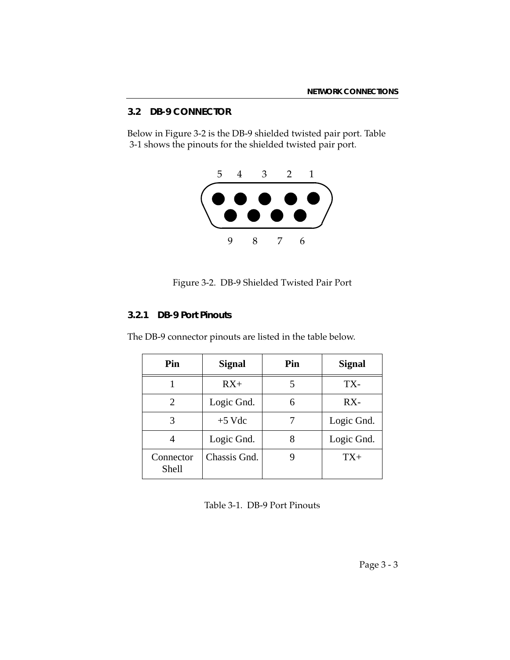### **3.2 DB-9 CONNECTOR**

Below in Figure 3-2 is the DB-9 shielded twisted pair port. Table 3-1 shows the pinouts for the shielded twisted pair port.



Figure 3-2. DB-9 Shielded Twisted Pair Port

### **3.2.1 DB-9 Port Pinouts**

The DB-9 connector pinouts are listed in the table below.

| Pin                   | <b>Signal</b> | Pin | <b>Signal</b> |
|-----------------------|---------------|-----|---------------|
|                       | $RX+$         |     | TX-           |
| $\mathcal{D}_{\cdot}$ | Logic Gnd.    | 6   | RX-           |
| 3                     | $+5$ Vdc      |     | Logic Gnd.    |
|                       | Logic Gnd.    | 8   | Logic Gnd.    |
| Connector<br>Shell    | Chassis Gnd.  |     | $TX+$         |

Table 3-1. DB-9 Port Pinouts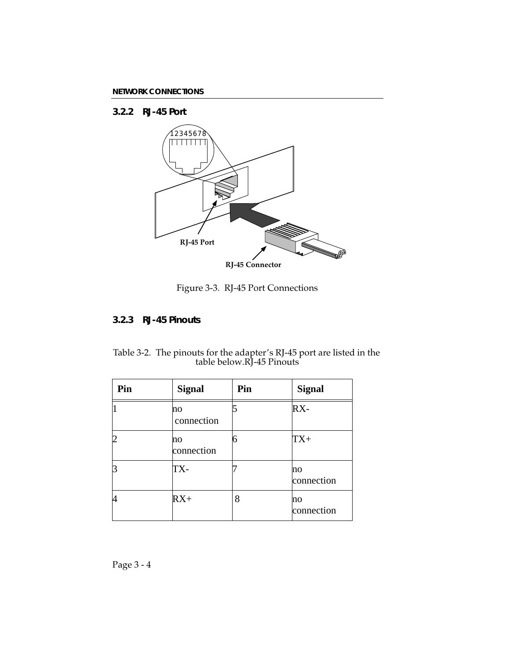### **3.2.2 RJ-45 Port**



### Figure 3-3. RJ-45 Port Connections

#### **3.2.3 RJ-45 Pinouts**

Table 3-2. The pinouts for the adapter's RJ-45 port are listed in the table below.RJ-45 Pinouts

| Pin | <b>Signal</b>    | Pin | <b>Signal</b>    |
|-----|------------------|-----|------------------|
|     | no<br>connection |     | RX-              |
|     | no<br>connection | 6   | $TX+$            |
|     | TX-              |     | no<br>connection |
|     | $RX+$            | 8   | no<br>connection |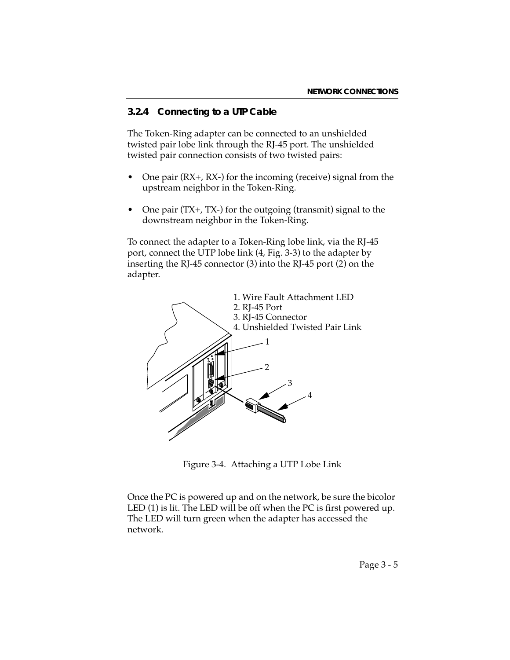### **3.2.4 Connecting to a UTP Cable**

The Token-Ring adapter can be connected to an unshielded twisted pair lobe link through the RJ-45 port. The unshielded twisted pair connection consists of two twisted pairs:

- One pair (RX+, RX-) for the incoming (receive) signal from the upstream neighbor in the Token-Ring.
- One pair (TX+, TX-) for the outgoing (transmit) signal to the downstream neighbor in the Token-Ring.

To connect the adapter to a Token-Ring lobe link, via the RJ-45 port, connect the UTP lobe link (4, Fig. 3-3) to the adapter by inserting the RJ-45 connector (3) into the RJ-45 port (2) on the adapter.



Figure 3-4. Attaching a UTP Lobe Link

Once the PC is powered up and on the network, be sure the bicolor LED (1) is lit. The LED will be off when the PC is first powered up. The LED will turn green when the adapter has accessed the network.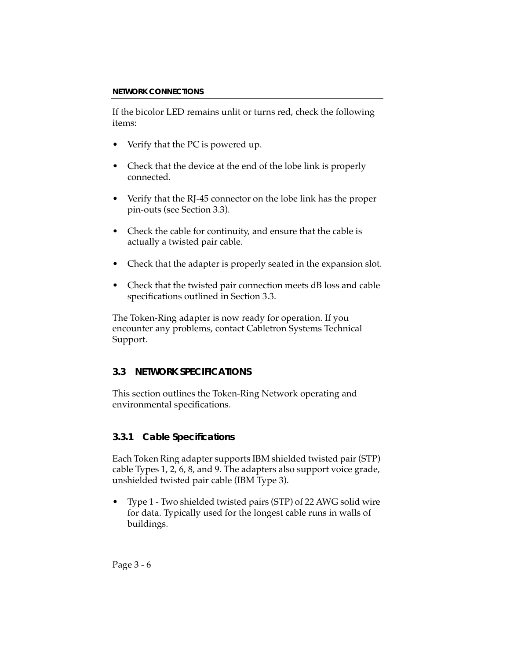If the bicolor LED remains unlit or turns red, check the following items:

- Verify that the PC is powered up.
- Check that the device at the end of the lobe link is properly connected.
- Verify that the RJ-45 connector on the lobe link has the proper pin-outs (see Section 3.3).
- Check the cable for continuity, and ensure that the cable is actually a twisted pair cable.
- Check that the adapter is properly seated in the expansion slot.
- Check that the twisted pair connection meets dB loss and cable specifications outlined in Section 3.3.

The Token-Ring adapter is now ready for operation. If you encounter any problems, contact Cabletron Systems Technical Support.

## **3.3 NETWORK SPECIFICATIONS**

This section outlines the Token-Ring Network operating and environmental specifications.

## **3.3.1 Cable Specifications**

Each Token Ring adapter supports IBM shielded twisted pair (STP) cable Types 1, 2, 6, 8, and 9. The adapters also support voice grade, unshielded twisted pair cable (IBM Type 3).

• Type 1 - Two shielded twisted pairs (STP) of 22 AWG solid wire for data. Typically used for the longest cable runs in walls of buildings.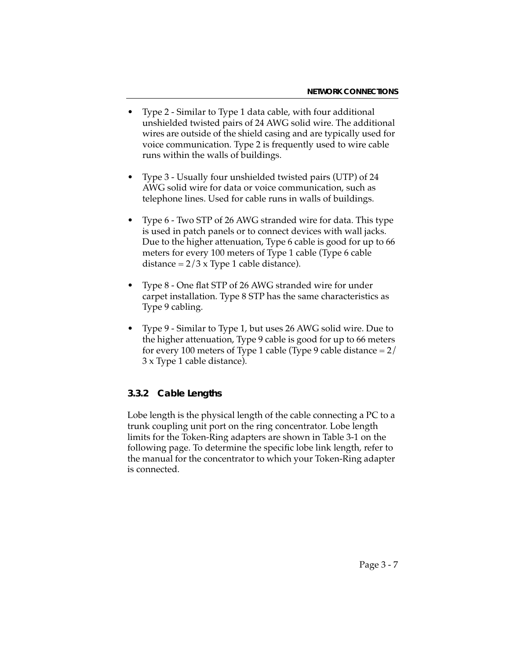- Type 2 Similar to Type 1 data cable, with four additional unshielded twisted pairs of 24 AWG solid wire. The additional wires are outside of the shield casing and are typically used for voice communication. Type 2 is frequently used to wire cable runs within the walls of buildings.
- Type 3 Usually four unshielded twisted pairs (UTP) of 24 AWG solid wire for data or voice communication, such as telephone lines. Used for cable runs in walls of buildings.
- Type 6 Two STP of 26 AWG stranded wire for data. This type is used in patch panels or to connect devices with wall jacks. Due to the higher attenuation, Type 6 cable is good for up to 66 meters for every 100 meters of Type 1 cable (Type 6 cable distance =  $2/3$  x Type 1 cable distance).
- Type 8 One flat STP of 26 AWG stranded wire for under carpet installation. Type 8 STP has the same characteristics as Type 9 cabling.
- Type 9 Similar to Type 1, but uses 26 AWG solid wire. Due to the higher attenuation, Type 9 cable is good for up to 66 meters for every 100 meters of Type 1 cable (Type 9 cable distance  $= 2/$ 3 x Type 1 cable distance).

### **3.3.2 Cable Lengths**

Lobe length is the physical length of the cable connecting a PC to a trunk coupling unit port on the ring concentrator. Lobe length limits for the Token-Ring adapters are shown in Table 3-1 on the following page. To determine the specific lobe link length, refer to the manual for the concentrator to which your Token-Ring adapter is connected.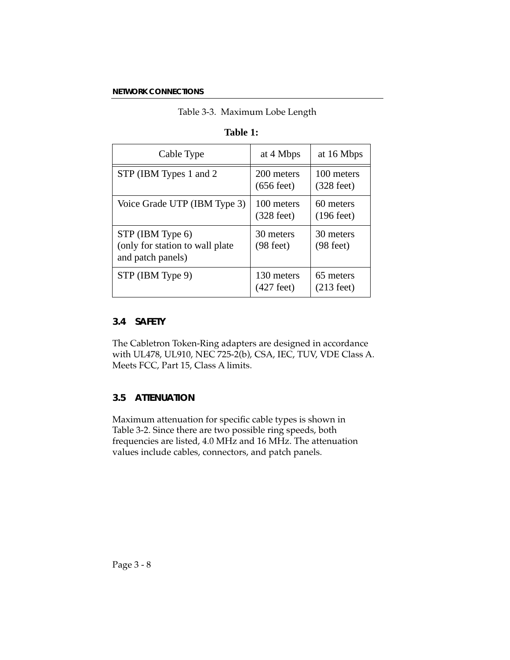#### Table 3-3. Maximum Lobe Length

| Cable Type                                                               | at 4 Mbps                          | at 16 Mbps                         |
|--------------------------------------------------------------------------|------------------------------------|------------------------------------|
| STP (IBM Types 1 and 2)                                                  | 200 meters<br>$(656 \text{ feet})$ | 100 meters<br>$(328 \text{ feet})$ |
| Voice Grade UTP (IBM Type 3)                                             | 100 meters<br>$(328 \text{ feet})$ | 60 meters<br>$(196 \text{ feet})$  |
| STP (IBM Type 6)<br>(only for station to wall plate<br>and patch panels) | 30 meters<br>$(98 \text{ feet})$   | 30 meters<br>$(98 \text{ feet})$   |
| STP (IBM Type 9)                                                         | 130 meters<br>(427 feet)           | 65 meters<br>$(213 \text{ feet})$  |

### **Table 1:**

### **3.4 SAFETY**

The Cabletron Token-Ring adapters are designed in accordance with UL478, UL910, NEC 725-2(b), CSA, IEC, TUV, VDE Class A. Meets FCC, Part 15, Class A limits.

### **3.5 ATTENUATION**

Maximum attenuation for specific cable types is shown in Table 3-2. Since there are two possible ring speeds, both frequencies are listed, 4.0 MHz and 16 MHz. The attenuation values include cables, connectors, and patch panels.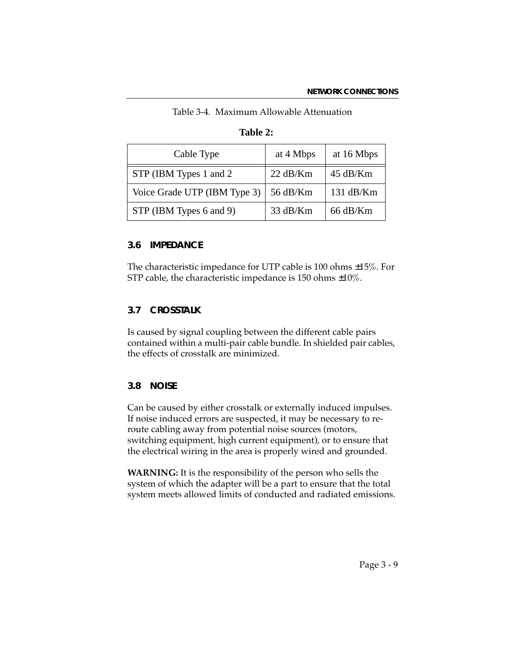| Cable Type                   | at 4 Mbps          | at 16 Mbps         |
|------------------------------|--------------------|--------------------|
| STP (IBM Types 1 and 2)      | $22 \text{ dB/Km}$ | $45$ dB/Km         |
| Voice Grade UTP (IBM Type 3) | 56 dB/Km           | 131 dB/Km          |
| STP (IBM Types 6 and 9)      | 33 dB/Km           | $66 \text{ dB/Km}$ |

Table 3-4. Maximum Allowable Attenuation

### **Table 2:**

### **3.6 IMPEDANCE**

The characteristic impedance for UTP cable is 100 ohms ±15%. For STP cable, the characteristic impedance is 150 ohms ±10%.

### **3.7 CROSSTALK**

Is caused by signal coupling between the different cable pairs contained within a multi-pair cable bundle. In shielded pair cables, the effects of crosstalk are minimized.

#### **3.8 NOISE**

Can be caused by either crosstalk or externally induced impulses. If noise induced errors are suspected, it may be necessary to reroute cabling away from potential noise sources (motors, switching equipment, high current equipment), or to ensure that the electrical wiring in the area is properly wired and grounded.

**WARNING:** It is the responsibility of the person who sells the system of which the adapter will be a part to ensure that the total system meets allowed limits of conducted and radiated emissions.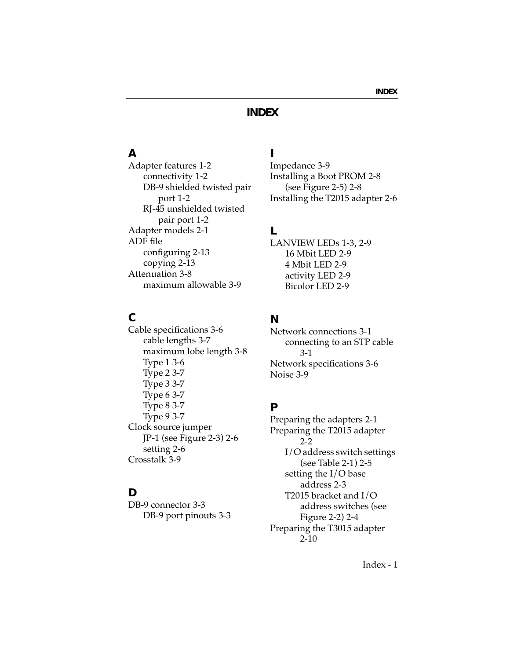# **INDEX**

# **A**

Adapter features 1-2 connectivity 1-2 DB-9 shielded twisted pair port 1-2 RJ-45 unshielded twisted pair port 1-2 Adapter models 2-1 ADF file configuring 2-13 copying 2-13 Attenuation 3-8 maximum allowable 3-9

## **C**

Cable specifications 3-6 cable lengths 3-7 maximum lobe length 3-8 Type 1 3-6 Type 2 3-7 Type 3 3-7 Type 6 3-7 Type 8 3-7 Type 9 3-7 Clock source jumper JP-1 (see Figure 2-3) 2-6 setting 2-6 Crosstalk 3-9

#### **D**

DB-9 connector 3-3 DB-9 port pinouts 3-3

## **I**

Impedance 3-9 Installing a Boot PROM 2-8 (see Figure 2-5) 2-8 Installing the T2015 adapter 2-6

## **L**

LANVIEW LEDs 1-3, 2-9 16 Mbit LED 2-9 4 Mbit LED 2-9 activity LED 2-9 Bicolor LED 2-9

### **N**

Network connections 3-1 connecting to an STP cable 3-1 Network specifications 3-6 Noise 3-9

#### **P**

Preparing the adapters 2-1 Preparing the T2015 adapter 2-2 I/O address switch settings (see Table 2-1) 2-5 setting the I/O base address 2-3 T2015 bracket and I/O address switches (see Figure 2-2) 2-4 Preparing the T3015 adapter 2-10